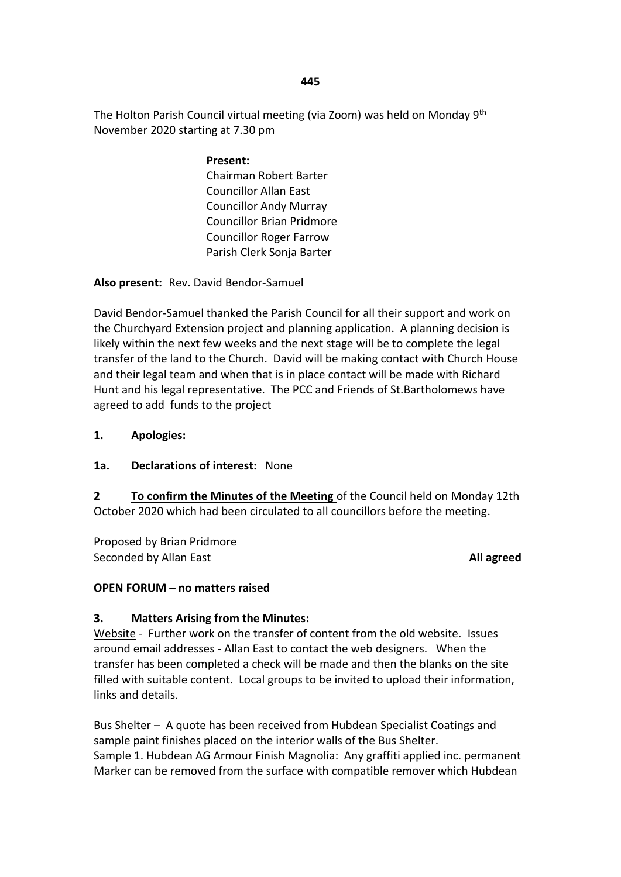The Holton Parish Council virtual meeting (via Zoom) was held on Monday 9<sup>th</sup> November 2020 starting at 7.30 pm

> **Present:** Chairman Robert Barter Councillor Allan East Councillor Andy Murray Councillor Brian Pridmore Councillor Roger Farrow Parish Clerk Sonja Barter

**Also present:** Rev. David Bendor-Samuel

David Bendor-Samuel thanked the Parish Council for all their support and work on the Churchyard Extension project and planning application. A planning decision is likely within the next few weeks and the next stage will be to complete the legal transfer of the land to the Church. David will be making contact with Church House and their legal team and when that is in place contact will be made with Richard Hunt and his legal representative. The PCC and Friends of St.Bartholomews have agreed to add funds to the project

#### **1. Apologies:**

#### **1a. Declarations of interest:** None

**2 To confirm the Minutes of the Meeting** of the Council held on Monday 12th October 2020 which had been circulated to all councillors before the meeting.

Proposed by Brian Pridmore Seconded by Allan East **All agreed All agreed All agreed All agreed** 

## **OPEN FORUM – no matters raised**

## **3. Matters Arising from the Minutes:**

Website - Further work on the transfer of content from the old website. Issues around email addresses - Allan East to contact the web designers. When the transfer has been completed a check will be made and then the blanks on the site filled with suitable content. Local groups to be invited to upload their information, links and details.

Bus Shelter – A quote has been received from Hubdean Specialist Coatings and sample paint finishes placed on the interior walls of the Bus Shelter. Sample 1. Hubdean AG Armour Finish Magnolia: Any graffiti applied inc. permanent Marker can be removed from the surface with compatible remover which Hubdean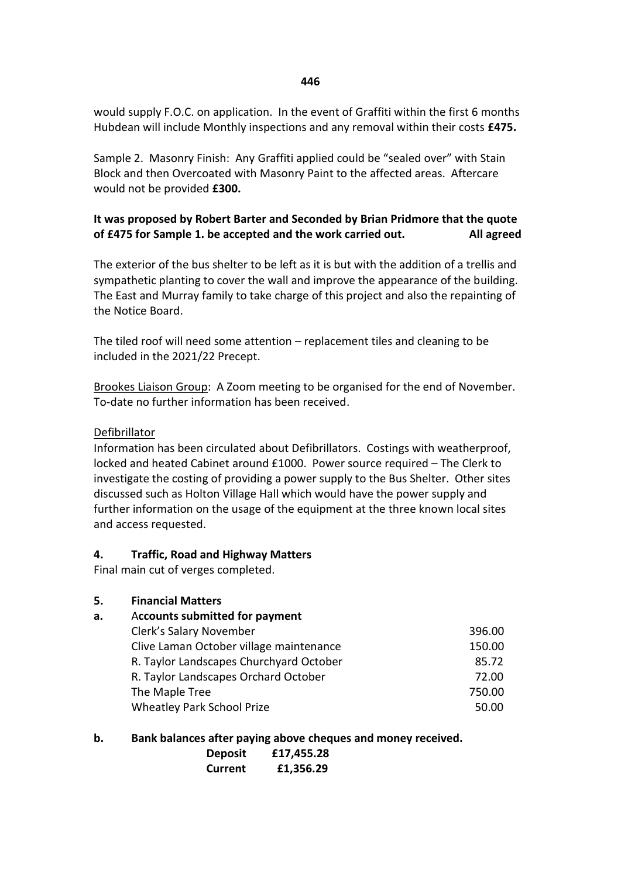would supply F.O.C. on application. In the event of Graffiti within the first 6 months Hubdean will include Monthly inspections and any removal within their costs **£475.**

Sample 2. Masonry Finish: Any Graffiti applied could be "sealed over" with Stain Block and then Overcoated with Masonry Paint to the affected areas. Aftercare would not be provided **£300.**

# **It was proposed by Robert Barter and Seconded by Brian Pridmore that the quote of £475 for Sample 1. be accepted and the work carried out. All agreed**

The exterior of the bus shelter to be left as it is but with the addition of a trellis and sympathetic planting to cover the wall and improve the appearance of the building. The East and Murray family to take charge of this project and also the repainting of the Notice Board.

The tiled roof will need some attention – replacement tiles and cleaning to be included in the 2021/22 Precept.

Brookes Liaison Group: A Zoom meeting to be organised for the end of November. To-date no further information has been received.

#### Defibrillator

Information has been circulated about Defibrillators. Costings with weatherproof, locked and heated Cabinet around £1000. Power source required – The Clerk to investigate the costing of providing a power supply to the Bus Shelter. Other sites discussed such as Holton Village Hall which would have the power supply and further information on the usage of the equipment at the three known local sites and access requested.

#### **4. Traffic, Road and Highway Matters**

Final main cut of verges completed.

## **5. Financial Matters**

| а. | <b>Accounts submitted for payment</b>   |        |
|----|-----------------------------------------|--------|
|    | Clerk's Salary November                 | 396.00 |
|    | Clive Laman October village maintenance | 150.00 |
|    | R. Taylor Landscapes Churchyard October | 85.72  |
|    | R. Taylor Landscapes Orchard October    | 72.00  |
|    | The Maple Tree                          | 750.00 |
|    | <b>Wheatley Park School Prize</b>       | 50.00  |

## **b. Bank balances after paying above cheques and money received.**

| <b>Deposit</b> | £17,455.28 |
|----------------|------------|
| <b>Current</b> | £1,356.29  |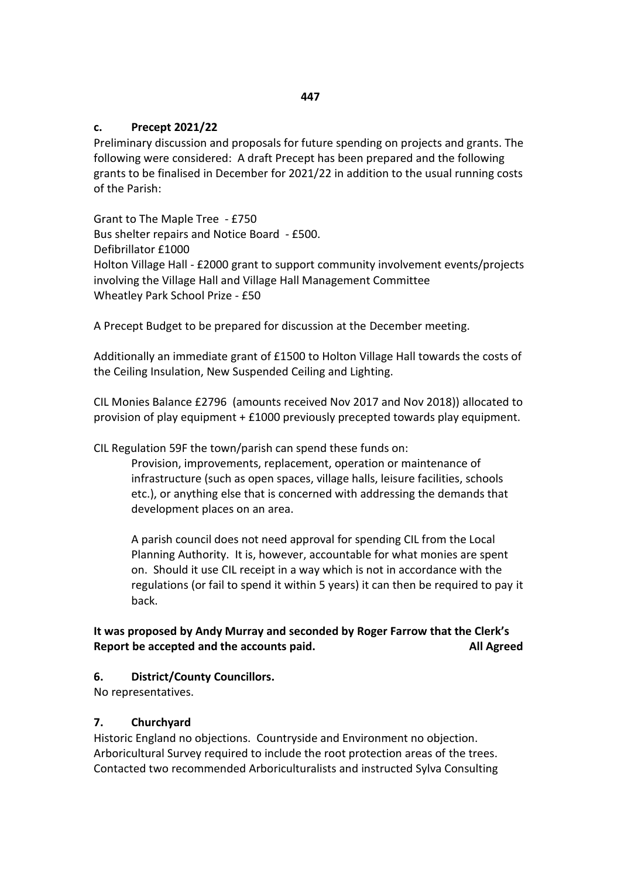#### **c. Precept 2021/22**

Preliminary discussion and proposals for future spending on projects and grants. The following were considered: A draft Precept has been prepared and the following grants to be finalised in December for 2021/22 in addition to the usual running costs of the Parish:

Grant to The Maple Tree - £750 Bus shelter repairs and Notice Board - £500. Defibrillator £1000 Holton Village Hall - £2000 grant to support community involvement events/projects involving the Village Hall and Village Hall Management Committee Wheatley Park School Prize - £50

A Precept Budget to be prepared for discussion at the December meeting.

Additionally an immediate grant of £1500 to Holton Village Hall towards the costs of the Ceiling Insulation, New Suspended Ceiling and Lighting.

CIL Monies Balance £2796 (amounts received Nov 2017 and Nov 2018)) allocated to provision of play equipment + £1000 previously precepted towards play equipment.

CIL Regulation 59F the town/parish can spend these funds on:

Provision, improvements, replacement, operation or maintenance of infrastructure (such as open spaces, village halls, leisure facilities, schools etc.), or anything else that is concerned with addressing the demands that development places on an area.

A parish council does not need approval for spending CIL from the Local Planning Authority. It is, however, accountable for what monies are spent on. Should it use CIL receipt in a way which is not in accordance with the regulations (or fail to spend it within 5 years) it can then be required to pay it back.

## **It was proposed by Andy Murray and seconded by Roger Farrow that the Clerk's Report be accepted and the accounts paid.** All **Agreed**

#### **6. District/County Councillors.**

No representatives.

#### **7. Churchyard**

Historic England no objections. Countryside and Environment no objection. Arboricultural Survey required to include the root protection areas of the trees. Contacted two recommended Arboriculturalists and instructed Sylva Consulting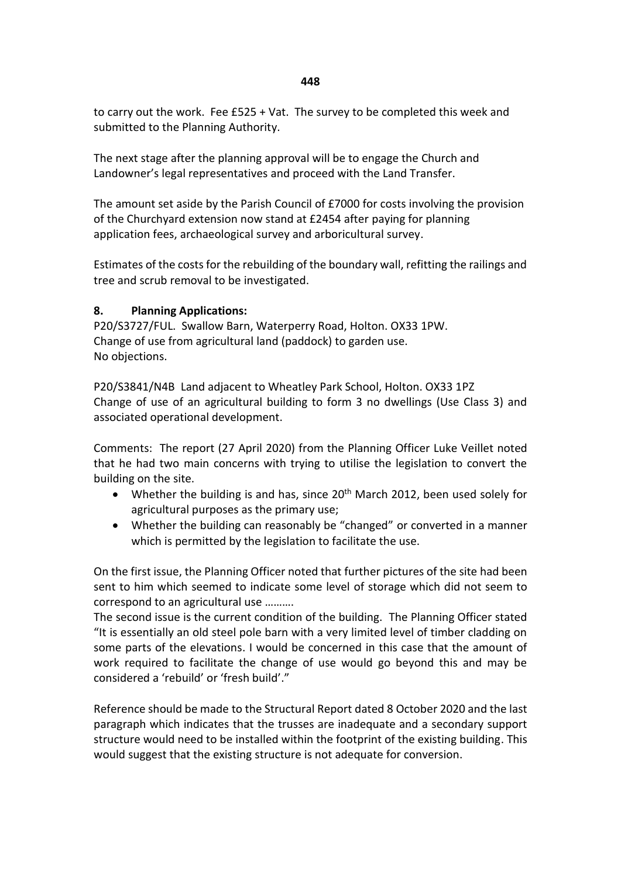#### **448**

to carry out the work. Fee £525 + Vat. The survey to be completed this week and submitted to the Planning Authority.

The next stage after the planning approval will be to engage the Church and Landowner's legal representatives and proceed with the Land Transfer.

The amount set aside by the Parish Council of £7000 for costs involving the provision of the Churchyard extension now stand at £2454 after paying for planning application fees, archaeological survey and arboricultural survey.

Estimates of the costs for the rebuilding of the boundary wall, refitting the railings and tree and scrub removal to be investigated.

#### **8. Planning Applications:**

P20/S3727/FUL. Swallow Barn, Waterperry Road, Holton. OX33 1PW. Change of use from agricultural land (paddock) to garden use. No objections.

P20/S3841/N4B Land adjacent to Wheatley Park School, Holton. OX33 1PZ Change of use of an agricultural building to form 3 no dwellings (Use Class 3) and associated operational development.

Comments: The report (27 April 2020) from the Planning Officer Luke Veillet noted that he had two main concerns with trying to utilise the legislation to convert the building on the site.

- Whether the building is and has, since  $20<sup>th</sup>$  March 2012, been used solely for agricultural purposes as the primary use;
- Whether the building can reasonably be "changed" or converted in a manner which is permitted by the legislation to facilitate the use.

On the first issue, the Planning Officer noted that further pictures of the site had been sent to him which seemed to indicate some level of storage which did not seem to correspond to an agricultural use ……….

The second issue is the current condition of the building. The Planning Officer stated "It is essentially an old steel pole barn with a very limited level of timber cladding on some parts of the elevations. I would be concerned in this case that the amount of work required to facilitate the change of use would go beyond this and may be considered a 'rebuild' or 'fresh build'."

Reference should be made to the Structural Report dated 8 October 2020 and the last paragraph which indicates that the trusses are inadequate and a secondary support structure would need to be installed within the footprint of the existing building. This would suggest that the existing structure is not adequate for conversion.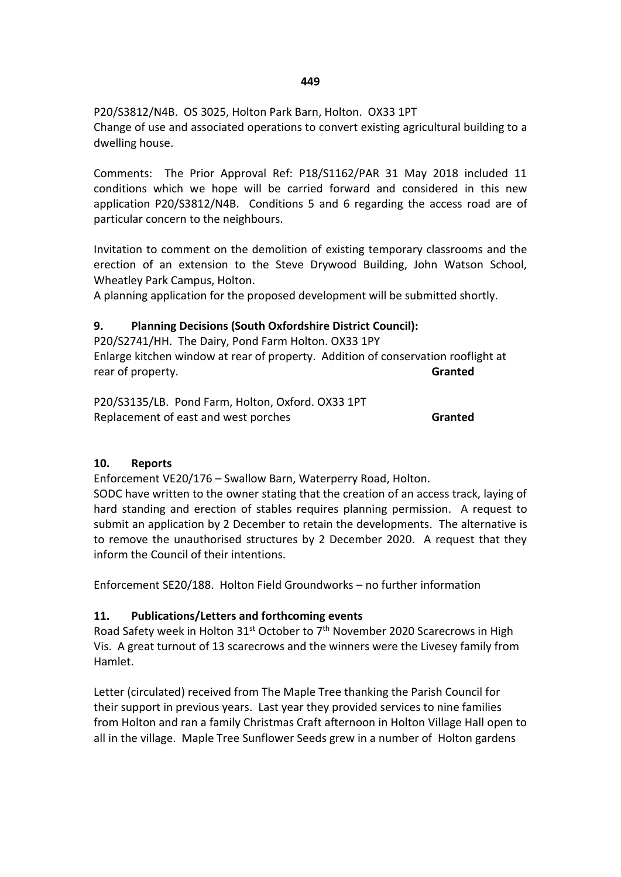P20/S3812/N4B. OS 3025, Holton Park Barn, Holton. OX33 1PT Change of use and associated operations to convert existing agricultural building to a dwelling house.

Comments: The Prior Approval Ref: P18/S1162/PAR 31 May 2018 included 11 conditions which we hope will be carried forward and considered in this new application P20/S3812/N4B. Conditions 5 and 6 regarding the access road are of particular concern to the neighbours.

Invitation to comment on the demolition of existing temporary classrooms and the erection of an extension to the Steve Drywood Building, John Watson School, Wheatley Park Campus, Holton.

A planning application for the proposed development will be submitted shortly.

# **9. Planning Decisions (South Oxfordshire District Council):**

P20/S2741/HH. The Dairy, Pond Farm Holton. OX33 1PY Enlarge kitchen window at rear of property. Addition of conservation rooflight at rear of property. **Granted**

P20/S3135/LB. Pond Farm, Holton, Oxford. OX33 1PT Replacement of east and west porches **Granted**

## **10. Reports**

Enforcement VE20/176 – Swallow Barn, Waterperry Road, Holton.

SODC have written to the owner stating that the creation of an access track, laying of hard standing and erection of stables requires planning permission. A request to submit an application by 2 December to retain the developments. The alternative is to remove the unauthorised structures by 2 December 2020. A request that they inform the Council of their intentions.

Enforcement SE20/188. Holton Field Groundworks – no further information

## **11. Publications/Letters and forthcoming events**

Road Safety week in Holton 31<sup>st</sup> October to 7<sup>th</sup> November 2020 Scarecrows in High Vis. A great turnout of 13 scarecrows and the winners were the Livesey family from Hamlet.

Letter (circulated) received from The Maple Tree thanking the Parish Council for their support in previous years. Last year they provided services to nine families from Holton and ran a family Christmas Craft afternoon in Holton Village Hall open to all in the village. Maple Tree Sunflower Seeds grew in a number of Holton gardens